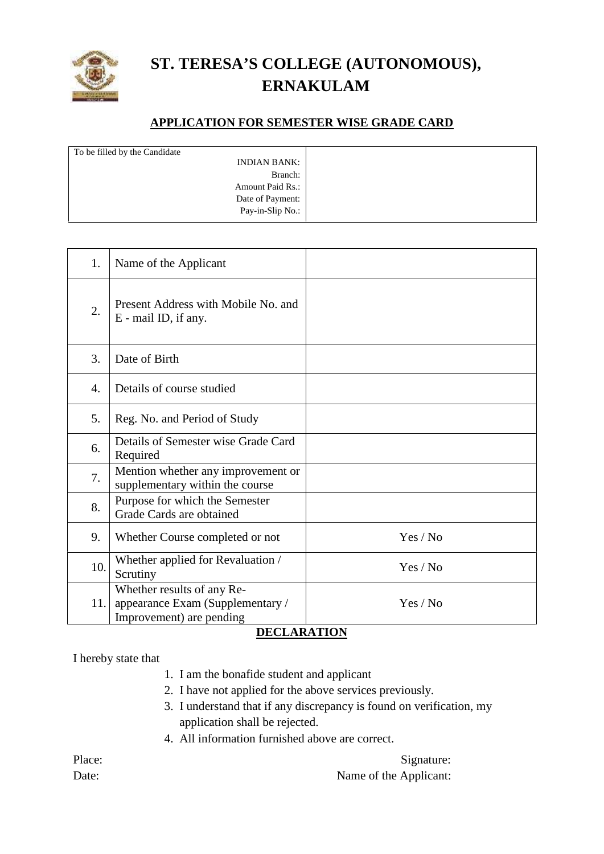

## **ST. TERESA'S COLLEGE (AUTONOMOUS), ERNAKULAM**

## **APPLICATION FOR SEMESTER WISE GRADE CARD**

| To be filled by the Candidate |  |
|-------------------------------|--|
| <b>INDIAN BANK:</b>           |  |
| Branch:                       |  |
| <b>Amount Paid Rs.:</b>       |  |
| Date of Payment:              |  |
| Pay-in-Slip No.:              |  |
|                               |  |

| 1.               | Name of the Applicant                                                                                            |          |
|------------------|------------------------------------------------------------------------------------------------------------------|----------|
| $\overline{2}$ . | Present Address with Mobile No. and<br>E - mail ID, if any.                                                      |          |
| 3.               | Date of Birth                                                                                                    |          |
| $\overline{4}$ . | Details of course studied                                                                                        |          |
| 5.               | Reg. No. and Period of Study                                                                                     |          |
| 6.               | Details of Semester wise Grade Card<br>Required                                                                  |          |
| 7.               | Mention whether any improvement or<br>supplementary within the course                                            |          |
| 8.               | Purpose for which the Semester<br>Grade Cards are obtained                                                       |          |
| 9.               | Whether Course completed or not                                                                                  | Yes / No |
| 10.              | Whether applied for Revaluation /<br>Scrutiny                                                                    | Yes / No |
| 11.              | Whether results of any Re-<br>appearance Exam (Supplementary /<br>Improvement) are pending<br><b>DECLIBITION</b> | Yes / No |

## **DECLARATION**

I hereby state that

- 1. I am the bonafide student and applicant
- 2. I have not applied for the above services previously.
- 3. I understand that if any discrepancy is found on verification, my application shall be rejected.
- 4. All information furnished above are correct.

Place: Signature:

Date: Name of the Applicant: